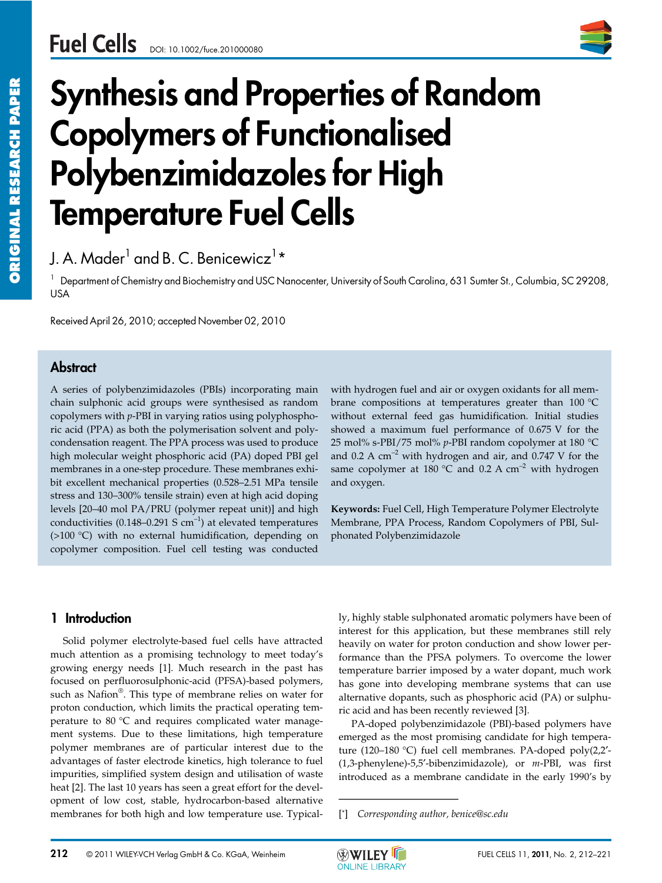

# Synthesis and Properties of Random Copolymers of Functionalised Polybenzimidazoles for High Temperature Fuel Cells

# J. A. Mader $^{\text{1}}$  and B. C. Benicewicz $^{\text{1}}\text{\text{*}}$

<sup>1</sup> Department of Chemistry and Biochemistry and USC Nanocenter, University of South Carolina, 631 Sumter St., Columbia, SC 29208, USA

Received April 26, 2010; accepted November 02, 2010

## **Abstract**

A series of polybenzimidazoles (PBIs) incorporating main chain sulphonic acid groups were synthesised as random copolymers with *p*-PBI in varying ratios using polyphosphoric acid (PPA) as both the polymerisation solvent and polycondensation reagent. The PPA process was used to produce high molecular weight phosphoric acid (PA) doped PBI gel membranes in a one-step procedure. These membranes exhibit excellent mechanical properties (0.528–2.51 MPa tensile stress and 130–300% tensile strain) even at high acid doping levels [20–40 mol PA/PRU (polymer repeat unit)] and high conductivities (0.148–0.291 S  $cm^{-1}$ ) at elevated temperatures (>100 °C) with no external humidification, depending on copolymer composition. Fuel cell testing was conducted

with hydrogen fuel and air or oxygen oxidants for all membrane compositions at temperatures greater than 100 °C without external feed gas humidification. Initial studies showed a maximum fuel performance of 0.675 V for the 25 mol% s-PBI/75 mol% *p*-PBI random copolymer at 180 °C and 0.2 A  $cm^{-2}$  with hydrogen and air, and 0.747 V for the same copolymer at 180 °C and 0.2 A  $cm^{-2}$  with hydrogen and oxygen.

**Keywords:** Fuel Cell, High Temperature Polymer Electrolyte Membrane, PPA Process, Random Copolymers of PBI, Sulphonated Polybenzimidazole

## 1 Introduction

Solid polymer electrolyte-based fuel cells have attracted much attention as a promising technology to meet today's growing energy needs [1]. Much research in the past has focused on perfluorosulphonic-acid (PFSA)-based polymers, such as Nafion®. This type of membrane relies on water for proton conduction, which limits the practical operating temperature to 80 °C and requires complicated water management systems. Due to these limitations, high temperature polymer membranes are of particular interest due to the advantages of faster electrode kinetics, high tolerance to fuel impurities, simplified system design and utilisation of waste heat [2]. The last 10 years has seen a great effort for the development of low cost, stable, hydrocarbon-based alternative membranes for both high and low temperature use. Typically, highly stable sulphonated aromatic polymers have been of interest for this application, but these membranes still rely heavily on water for proton conduction and show lower performance than the PFSA polymers. To overcome the lower temperature barrier imposed by a water dopant, much work has gone into developing membrane systems that can use alternative dopants, such as phosphoric acid (PA) or sulphuric acid and has been recently reviewed [3]. ly, highly stable sulphonate<br>interest for this applicatio<br>heavily on water for proton<br>formance than the PFSA <sub>I</sub><br>temperature barrier impose<br>has gone into developing<br>alternative dopants, such a<br>ric acid and has been recent<br>

PA-doped polybenzimidazole (PBI)-based polymers have emerged as the most promising candidate for high temperature (120–180 °C) fuel cell membranes. PA-doped poly(2,2′- (1,3-phenylene)-5,5′-bibenzimidazole), or *m*-PBI, was first introduced as a membrane candidate in the early 1990's by

[\*] *Corresponding author, benice@sc.edu*

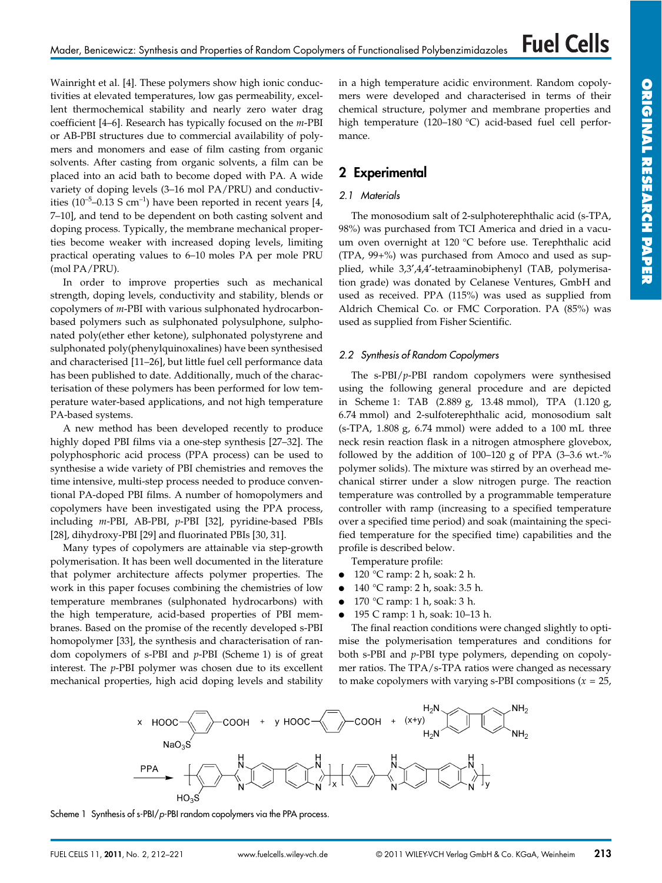Wainright et al. [4]. These polymers show high ionic conductivities at elevated temperatures, low gas permeability, excellent thermochemical stability and nearly zero water drag coefficient [4–6]. Research has typically focused on the *m*-PBI or AB-PBI structures due to commercial availability of polymers and monomers and ease of film casting from organic solvents. After casting from organic solvents, a film can be placed into an acid bath to become doped with PA. A wide variety of doping levels (3–16 mol PA/PRU) and conductivities ( $10^{-5}$ –0.13 S cm<sup>-1</sup>) have been reported in recent years [4, 7–10], and tend to be dependent on both casting solvent and doping process. Typically, the membrane mechanical properties become weaker with increased doping levels, limiting practical operating values to 6–10 moles PA per mole PRU (mol PA/PRU).

In order to improve properties such as mechanical strength, doping levels, conductivity and stability, blends or copolymers of *m*-PBI with various sulphonated hydrocarbonbased polymers such as sulphonated polysulphone, sulphonated poly(ether ether ketone), sulphonated polystyrene and sulphonated poly(phenylquinoxalines) have been synthesised and characterised [11–26], but little fuel cell performance data has been published to date. Additionally, much of the characterisation of these polymers has been performed for low temperature water-based applications, and not high temperature PA-based systems.

A new method has been developed recently to produce highly doped PBI films via a one-step synthesis [27–32]. The polyphosphoric acid process (PPA process) can be used to synthesise a wide variety of PBI chemistries and removes the time intensive, multi-step process needed to produce conventional PA-doped PBI films. A number of homopolymers and copolymers have been investigated using the PPA process, including *m*-PBI, AB-PBI, *p*-PBI [32], pyridine-based PBIs [28], dihydroxy-PBI [29] and fluorinated PBIs [30, 31].

Many types of copolymers are attainable via step-growth polymerisation. It has been well documented in the literature that polymer architecture affects polymer properties. The work in this paper focuses combining the chemistries of low temperature membranes (sulphonated hydrocarbons) with the high temperature, acid-based properties of PBI membranes. Based on the promise of the recently developed s-PBI homopolymer [33], the synthesis and characterisation of random copolymers of s-PBI and *p*-PBI (Scheme 1) is of great interest. The *p*-PBI polymer was chosen due to its excellent mechanical properties, high acid doping levels and stability in a high temperature acidic environment. Random copolymers were developed and characterised in terms of their chemical structure, polymer and membrane properties and high temperature (120–180 °C) acid-based fuel cell performance.

## 2 Experimental

## 2.1 Materials

The monosodium salt of 2-sulphoterephthalic acid (s-TPA, 98%) was purchased from TCI America and dried in a vacuum oven overnight at 120 °C before use. Terephthalic acid (TPA, 99+%) was purchased from Amoco and used as supplied, while 3,3′,4,4′-tetraaminobiphenyl (TAB, polymerisation grade) was donated by Celanese Ventures, GmbH and used as received. PPA (115%) was used as supplied from Aldrich Chemical Co. or FMC Corporation. PA (85%) was used as supplied from Fisher Scientific.

## 2.2 Synthesis of Random Copolymers

The s-PBI/*p*-PBI random copolymers were synthesised using the following general procedure and are depicted in Scheme 1: TAB (2.889 g, 13.48 mmol), TPA (1.120 g, 6.74 mmol) and 2-sulfoterephthalic acid, monosodium salt  $(s-TPA, 1.808 g, 6.74 mmol)$  were added to a 100 mL three neck resin reaction flask in a nitrogen atmosphere glovebox, followed by the addition of  $100-120$  g of PPA  $(3-3.6 \text{ wt.} -\%)$ polymer solids). The mixture was stirred by an overhead mechanical stirrer under a slow nitrogen purge. The reaction temperature was controlled by a programmable temperature controller with ramp (increasing to a specified temperature over a specified time period) and soak (maintaining the specified temperature for the specified time) capabilities and the profile is described below.

Temperature profile:

- $\bullet$  120 °C ramp: 2 h, soak: 2 h.
- 140 °C ramp: 2 h, soak: 3.5 h.
- $\bullet$  170 °C ramp: 1 h, soak: 3 h.
- 195 C ramp: 1 h, soak: 10–13 h.

The final reaction conditions were changed slightly to optimise the polymerisation temperatures and conditions for both s-PBI and *p*-PBI type polymers, depending on copolymer ratios. The TPA/s-TPA ratios were changed as necessary to make copolymers with varying s-PBI compositions (*x* = 25,



Scheme 1 Synthesis of s-PBI/p-PBI random copolymers via the PPA process.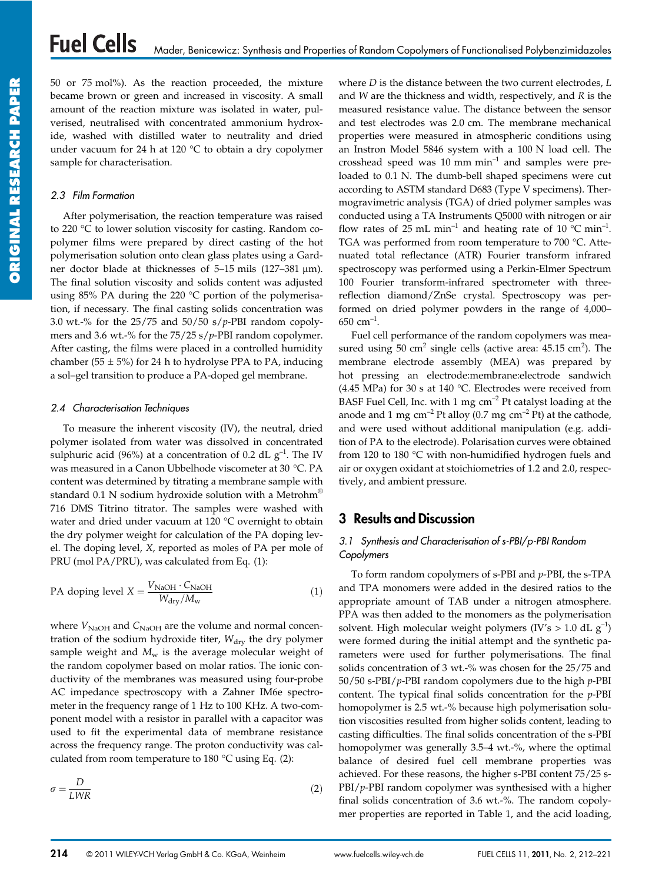50 or 75 mol%). As the reaction proceeded, the mixture became brown or green and increased in viscosity. A small amount of the reaction mixture was isolated in water, pulverised, neutralised with concentrated ammonium hydroxide, washed with distilled water to neutrality and dried under vacuum for 24 h at 120  $\degree$ C to obtain a dry copolymer sample for characterisation.

#### 2.3 Film Formation

After polymerisation, the reaction temperature was raised to 220 °C to lower solution viscosity for casting. Random copolymer films were prepared by direct casting of the hot polymerisation solution onto clean glass plates using a Gardner doctor blade at thicknesses of 5-15 mils (127-381  $\mu$ m). The final solution viscosity and solids content was adjusted using 85% PA during the 220 °C portion of the polymerisation, if necessary. The final casting solids concentration was 3.0 wt.-% for the 25/75 and 50/50 s/*p*-PBI random copolymers and 3.6 wt.-% for the 75/25 s/*p*-PBI random copolymer. After casting, the films were placed in a controlled humidity chamber (55  $\pm$  5%) for 24 h to hydrolyse PPA to PA, inducing a sol–gel transition to produce a PA-doped gel membrane.

#### 2.4 Characterisation Techniques

To measure the inherent viscosity (IV), the neutral, dried polymer isolated from water was dissolved in concentrated sulphuric acid (96%) at a concentration of 0.2 dL  $g^{-1}$ . The IV was measured in a Canon Ubbelhode viscometer at 30 °C. PA content was determined by titrating a membrane sample with standard 0.1 N sodium hydroxide solution with a Metrohm® 716 DMS Titrino titrator. The samples were washed with water and dried under vacuum at 120 °C overnight to obtain the dry polymer weight for calculation of the PA doping level. The doping level, *X*, reported as moles of PA per mole of PRU (mol PA/PRU), was calculated from Eq. (1):

PA doping level 
$$
X = \frac{V_{\text{NaOH}} \cdot C_{\text{NaOH}}}{W_{\text{dry}}/M_{\text{w}}}
$$
 (1)

where  $V_{\text{NaOH}}$  and  $C_{\text{NaOH}}$  are the volume and normal concentration of the sodium hydroxide titer,  $W_{\text{dry}}$  the dry polymer sample weight and  $M_w$  is the average molecular weight of the random copolymer based on molar ratios. The ionic conductivity of the membranes was measured using four-probe AC impedance spectroscopy with a Zahner IM6e spectrometer in the frequency range of 1 Hz to 100 KHz. A two-component model with a resistor in parallel with a capacitor was used to fit the experimental data of membrane resistance across the frequency range. The proton conductivity was calculated from room temperature to  $180 °C$  using Eq. (2):

$$
\sigma = \frac{D}{LWR} \tag{2}
$$

where *D* is the distance between the two current electrodes, *L* and *W* are the thickness and width, respectively, and *R* is the measured resistance value. The distance between the sensor and test electrodes was 2.0 cm. The membrane mechanical properties were measured in atmospheric conditions using an Instron Model 5846 system with a 100 N load cell. The crosshead speed was  $10$  mm min<sup>-1</sup> and samples were preloaded to 0.1 N. The dumb-bell shaped specimens were cut according to ASTM standard D683 (Type V specimens). Thermogravimetric analysis (TGA) of dried polymer samples was conducted using a TA Instruments Q5000 with nitrogen or air flow rates of 25 mL min<sup>-1</sup> and heating rate of 10  $^{\circ}$ C min<sup>-1</sup>. TGA was performed from room temperature to 700 °C. Attenuated total reflectance (ATR) Fourier transform infrared spectroscopy was performed using a Perkin-Elmer Spectrum 100 Fourier transform-infrared spectrometer with threereflection diamond/ZnSe crystal. Spectroscopy was performed on dried polymer powders in the range of 4,000– 650 cm $^{-1}$ .

Fuel cell performance of the random copolymers was measured using  $50 \text{ cm}^2$  single cells (active area:  $45.15 \text{ cm}^2$ ). The membrane electrode assembly (MEA) was prepared by hot pressing an electrode:membrane:electrode sandwich (4.45 MPa) for 30 s at 140 °C. Electrodes were received from BASF Fuel Cell, Inc. with 1 mg  $cm^{-2}$  Pt catalyst loading at the anode and 1 mg  $\text{cm}^{-2}$  Pt alloy (0.7 mg  $\text{cm}^{-2}$  Pt) at the cathode, and were used without additional manipulation (e.g. addition of PA to the electrode). Polarisation curves were obtained from 120 to 180 °C with non-humidified hydrogen fuels and air or oxygen oxidant at stoichiometries of 1.2 and 2.0, respectively, and ambient pressure.

## 3 Results and Discussion

## 3.1 Synthesis and Characterisation of s-PBI/p-PBI Random **Copolymers**

To form random copolymers of s-PBI and *p*-PBI, the s-TPA and TPA monomers were added in the desired ratios to the appropriate amount of TAB under a nitrogen atmosphere. PPA was then added to the monomers as the polymerisation solvent. High molecular weight polymers (IV's  $> 1.0$  dL g<sup>-1</sup>) were formed during the initial attempt and the synthetic parameters were used for further polymerisations. The final solids concentration of 3 wt.-% was chosen for the 25/75 and 50/50 s-PBI/*p*-PBI random copolymers due to the high *p*-PBI content. The typical final solids concentration for the *p*-PBI homopolymer is 2.5 wt.-% because high polymerisation solution viscosities resulted from higher solids content, leading to casting difficulties. The final solids concentration of the s-PBI homopolymer was generally 3.5–4 wt.-%, where the optimal balance of desired fuel cell membrane properties was achieved. For these reasons, the higher s-PBI content 75/25 s-PBI/*p*-PBI random copolymer was synthesised with a higher final solids concentration of 3.6 wt.-%. The random copolymer properties are reported in Table 1, and the acid loading,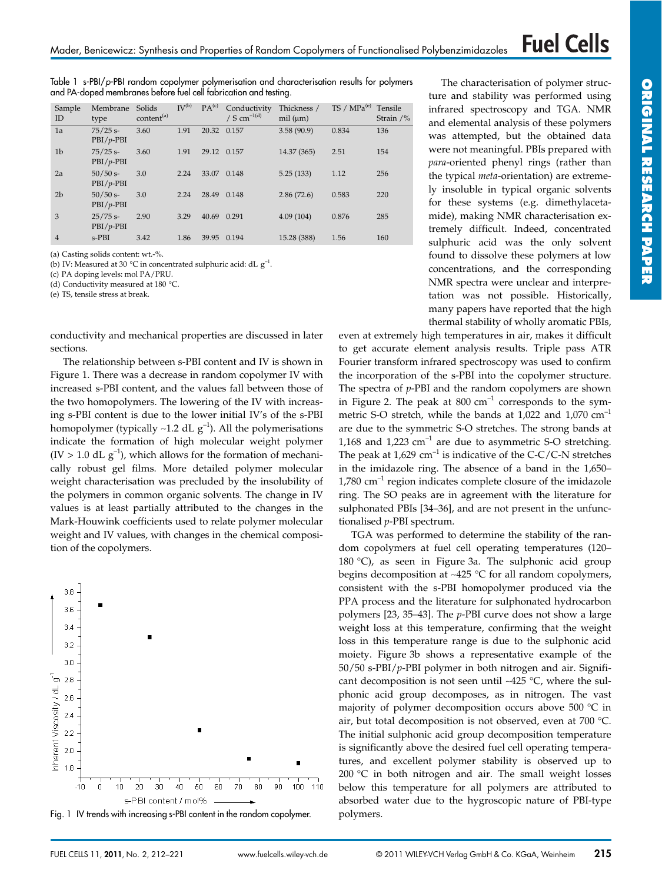Table 1 s-PBI/p-PBI random copolymer polymerisation and characterisation results for polymers and PA-doped membranes before fuel cell fabrication and testing.

| Sample<br>ID   | Membrane<br>type          | Solids<br>content <sup>(a)</sup> | $IV^{(b)}$ | PA <sup>(c)</sup> | Conductivity<br>/ S cm <sup>-1(d)</sup> | Thickness /<br>mil (µm) | $TS / MPa^{(e)}$ | Tensile<br>Strain $/$ % |
|----------------|---------------------------|----------------------------------|------------|-------------------|-----------------------------------------|-------------------------|------------------|-------------------------|
| 1a             | $75/25$ s-<br>$PBI/p-PBI$ | 3.60                             | 1.91       | 20.32 0.157       |                                         | 3.58(90.9)              | 0.834            | 136                     |
| 1 <sub>b</sub> | $75/25$ s-<br>$PBI/p-PBI$ | 3.60                             | 1.91       | 29.12 0.157       |                                         | 14.37 (365)             | 2.51             | 154                     |
| 2a             | $50/50$ s-<br>$PBI/p-PBI$ | 3.0                              | 2.24       | 33.07             | 0.148                                   | 5.25(133)               | 1.12             | 256                     |
| 2 <sub>b</sub> | $50/50$ s-<br>$PBI/p-PBI$ | 3.0                              | 2.24       | 28.49             | 0.148                                   | 2.86(72.6)              | 0.583            | 220                     |
| 3              | $25/75$ s-<br>$PBI/p-PBI$ | 2.90                             | 3.29       | 40.69             | 0.291                                   | 4.09(104)               | 0.876            | 285                     |
| $\overline{4}$ | $s-PBI$                   | 3.42                             | 1.86       | 39.95             | 0.194                                   | 15.28 (388)             | 1.56             | 160                     |

(a) Casting solids content: wt.-%.

(b) IV: Measured at 30 °C in concentrated sulphuric acid: dL  $g^{-1}$ .

(c) PA doping levels: mol PA/PRU.

(d) Conductivity measured at 180 °C.

(e) TS, tensile stress at break.

conductivity and mechanical properties are discussed in later sections.

The relationship between s-PBI content and IV is shown in Figure 1. There was a decrease in random copolymer IV with increased s-PBI content, and the values fall between those of the two homopolymers. The lowering of the IV with increasing s-PBI content is due to the lower initial IV's of the s-PBI homopolymer (typically ~1.2 dL  $g^{-1}$ ). All the polymerisations indicate the formation of high molecular weight polymer  $(IV > 1.0$  dL  $g^{-1}$ ), which allows for the formation of mechanically robust gel films. More detailed polymer molecular weight characterisation was precluded by the insolubility of the polymers in common organic solvents. The change in IV values is at least partially attributed to the changes in the Mark-Houwink coefficients used to relate polymer molecular weight and IV values, with changes in the chemical composition of the copolymers.



Fig. 1 IV trends with increasing s-PBI content in the random copolymer.

The characterisation of polymer structure and stability was performed using infrared spectroscopy and TGA. NMR and elemental analysis of these polymers was attempted, but the obtained data were not meaningful. PBIs prepared with *para*-oriented phenyl rings (rather than the typical *meta*-orientation) are extremely insoluble in typical organic solvents for these systems (e.g. dimethylacetamide), making NMR characterisation extremely difficult. Indeed, concentrated sulphuric acid was the only solvent found to dissolve these polymers at low concentrations, and the corresponding NMR spectra were unclear and interpretation was not possible. Historically, many papers have reported that the high thermal stability of wholly aromatic PBIs,

even at extremely high temperatures in air, makes it difficult to get accurate element analysis results. Triple pass ATR Fourier transform infrared spectroscopy was used to confirm the incorporation of the s-PBI into the copolymer structure. The spectra of *p*-PBI and the random copolymers are shown in Figure 2. The peak at  $800 \text{ cm}^{-1}$  corresponds to the symmetric S-O stretch, while the bands at  $1,022$  and  $1,070$  cm<sup>-1</sup> are due to the symmetric S-O stretches. The strong bands at 1,168 and 1,223  $cm^{-1}$  are due to asymmetric S-O stretching. The peak at  $1,629$  cm<sup>-1</sup> is indicative of the C-C/C-N stretches in the imidazole ring. The absence of a band in the 1,650–  $1,780$  cm<sup>-1</sup> region indicates complete closure of the imidazole ring. The SO peaks are in agreement with the literature for sulphonated PBIs [34–36], and are not present in the unfunctionalised *p*-PBI spectrum.

TGA was performed to determine the stability of the random copolymers at fuel cell operating temperatures (120– 180 °C), as seen in Figure 3a. The sulphonic acid group begins decomposition at ∼425 °C for all random copolymers, consistent with the s-PBI homopolymer produced via the PPA process and the literature for sulphonated hydrocarbon polymers [23, 35–43]. The *p*-PBI curve does not show a large weight loss at this temperature, confirming that the weight loss in this temperature range is due to the sulphonic acid moiety. Figure 3b shows a representative example of the 50/50 s-PBI/*p*-PBI polymer in both nitrogen and air. Significant decomposition is not seen until ∼425 °C, where the sulphonic acid group decomposes, as in nitrogen. The vast majority of polymer decomposition occurs above 500 °C in air, but total decomposition is not observed, even at 700 °C. The initial sulphonic acid group decomposition temperature is significantly above the desired fuel cell operating temperatures, and excellent polymer stability is observed up to 200 °C in both nitrogen and air. The small weight losses below this temperature for all polymers are attributed to absorbed water due to the hygroscopic nature of PBI-type polymers.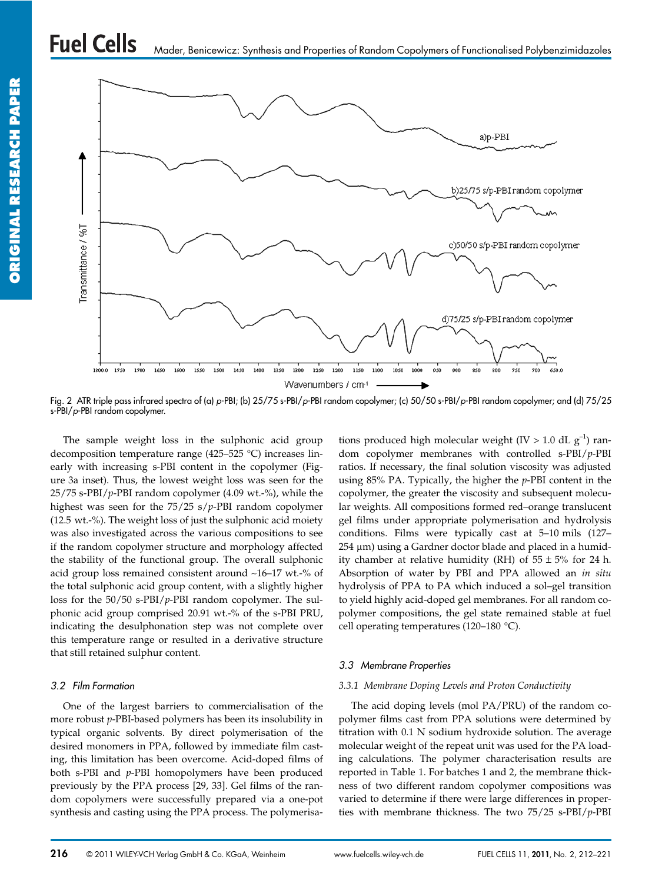

Fig. 2 ATR triple pass infrared spectra of (a) p-PBI; (b) 25/75 s-PBI/p-PBI random copolymer; (c) 50/50 s-PBI/p-PBI random copolymer; and (d) 75/25 s-PBI/p-PBI random copolymer.

The sample weight loss in the sulphonic acid group decomposition temperature range (425–525 °C) increases linearly with increasing s-PBI content in the copolymer (Figure 3a inset). Thus, the lowest weight loss was seen for the 25/75 s-PBI/*p*-PBI random copolymer (4.09 wt.-%), while the highest was seen for the 75/25 s/*p*-PBI random copolymer (12.5 wt.-%). The weight loss of just the sulphonic acid moiety was also investigated across the various compositions to see if the random copolymer structure and morphology affected the stability of the functional group. The overall sulphonic acid group loss remained consistent around ∼16–17 wt.-% of the total sulphonic acid group content, with a slightly higher loss for the 50/50 s-PBI/*p*-PBI random copolymer. The sulphonic acid group comprised 20.91 wt.-% of the s-PBI PRU, indicating the desulphonation step was not complete over this temperature range or resulted in a derivative structure that still retained sulphur content.

### 3.2 Film Formation

One of the largest barriers to commercialisation of the more robust *p*-PBI-based polymers has been its insolubility in typical organic solvents. By direct polymerisation of the desired monomers in PPA, followed by immediate film casting, this limitation has been overcome. Acid-doped films of both s-PBI and *p*-PBI homopolymers have been produced previously by the PPA process [29, 33]. Gel films of the random copolymers were successfully prepared via a one-pot synthesis and casting using the PPA process. The polymerisa-

tions produced high molecular weight (IV > 1.0 dL  $g^{-1}$ ) random copolymer membranes with controlled s-PBI/*p*-PBI ratios. If necessary, the final solution viscosity was adjusted using 85% PA. Typically, the higher the *p*-PBI content in the copolymer, the greater the viscosity and subsequent molecular weights. All compositions formed red–orange translucent gel films under appropriate polymerisation and hydrolysis conditions. Films were typically cast at 5–10 mils (127– 254 µm) using a Gardner doctor blade and placed in a humidity chamber at relative humidity (RH) of  $55 \pm 5\%$  for 24 h. Absorption of water by PBI and PPA allowed an *in situ* hydrolysis of PPA to PA which induced a sol–gel transition to yield highly acid-doped gel membranes. For all random copolymer compositions, the gel state remained stable at fuel cell operating temperatures (120–180 °C).

### 3.3 Membrane Properties

### *3.3.1 Membrane Doping Levels and Proton Conductivity*

The acid doping levels (mol PA/PRU) of the random copolymer films cast from PPA solutions were determined by titration with 0.1 N sodium hydroxide solution. The average molecular weight of the repeat unit was used for the PA loading calculations. The polymer characterisation results are reported in Table 1. For batches 1 and 2, the membrane thickness of two different random copolymer compositions was varied to determine if there were large differences in properties with membrane thickness. The two 75/25 s-PBI/*p*-PBI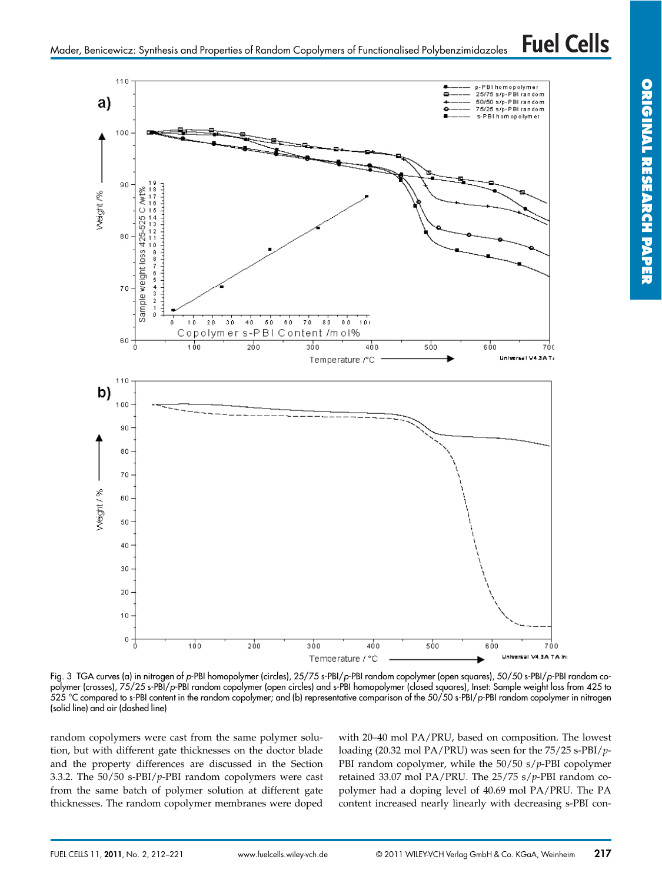

Fig. 3 TGA curves (a) in nitrogen of p-PBI homopolymer (circles), 25/75 s-PBI/p-PBI random copolymer (open squares), 50/50 s-PBI/p-PBI random copolymer (crosses), 75/25 s-PBI/p-PBI random copolymer (open circles) and s-PBI homopolymer (closed squares), Inset: Sample weight loss from 425 to 525 °C compared to s-PBI content in the random copolymer; and (b) representative comparison of the 50/50 s-PBI/p-PBI random copolymer in nitrogen (solid line) and air (dashed line)

random copolymers were cast from the same polymer solution, but with different gate thicknesses on the doctor blade and the property differences are discussed in the Section 3.3.2. The 50/50 s-PBI/*p*-PBI random copolymers were cast from the same batch of polymer solution at different gate thicknesses. The random copolymer membranes were doped with 20–40 mol PA/PRU, based on composition. The lowest loading (20.32 mol PA/PRU) was seen for the 75/25 s-PBI/*p*-PBI random copolymer, while the 50/50 s/*p*-PBI copolymer retained 33.07 mol PA/PRU. The 25/75 s/*p*-PBI random copolymer had a doping level of 40.69 mol PA/PRU. The PA content increased nearly linearly with decreasing s-PBI con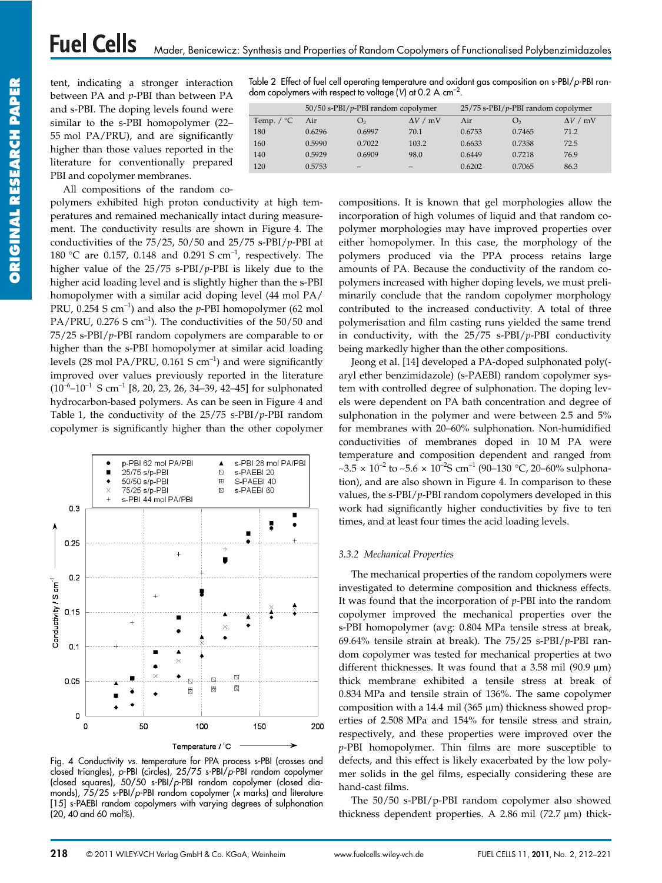tent, indicating a stronger interaction between PA and *p*-PBI than between PA and s-PBI. The doping levels found were similar to the s-PBI homopolymer (22– 55 mol PA/PRU), and are significantly higher than those values reported in the literature for conventionally prepared PBI and copolymer membranes.

All compositions of the random co-

polymers exhibited high proton conductivity at high temperatures and remained mechanically intact during measurement. The conductivity results are shown in Figure 4. The conductivities of the 75/25, 50/50 and 25/75 s-PBI/*p*-PBI at 180 °C are 0.157, 0.148 and 0.291 S cm–1, respectively. The higher value of the 25/75 s-PBI/*p*-PBI is likely due to the higher acid loading level and is slightly higher than the s-PBI homopolymer with a similar acid doping level (44 mol PA/ PRU, 0.254 S cm–1) and also the *p*-PBI homopolymer (62 mol PA/PRU,  $0.276$  S cm<sup>-1</sup>). The conductivities of the  $50/50$  and 75/25 s-PBI/*p*-PBI random copolymers are comparable to or higher than the s-PBI homopolymer at similar acid loading levels (28 mol PA/PRU,  $0.161$  S cm<sup>-1</sup>) and were significantly improved over values previously reported in the literature  $(10^{-6}$ – $10^{-1}$  S cm<sup>-1</sup> [8, 20, 23, 26, 34–39, 42–45] for sulphonated hydrocarbon-based polymers. As can be seen in Figure 4 and Table 1, the conductivity of the 25/75 s-PBI/*p*-PBI random copolymer is significantly higher than the other copolymer



Fig. 4 Conductivity vs. temperature for PPA process s-PBI (crosses and closed triangles), p-PBI (circles), 25/75 s-PBI/p-PBI random copolymer (closed squares), 50/50 s-PBI/p-PBI random copolymer (closed diamonds), 75/25 s-PBI/p-PBI random copolymer (x marks) and literature [15] s-PAEBI random copolymers with varying degrees of sulphonation (20, 40 and 60 mol%).

Table 2 Effect of fuel cell operating temperature and oxidant gas composition on s-PBI/p-PBI random copolymers with respect to voltage (V) at 0.2 A cm<sup>-2</sup>.

|                      | $50/50$ s-PBI/p-PBI random copolymer |                |                 | $25/75$ s-PBI/p-PBI random copolymer |                |                 |  |
|----------------------|--------------------------------------|----------------|-----------------|--------------------------------------|----------------|-----------------|--|
| Temp. $\sqrt{\ }$ °C | Air                                  | O <sub>2</sub> | $\Delta V$ / mV | Air                                  | O <sub>2</sub> | $\Delta V$ / mV |  |
| 180                  | 0.6296                               | 0.6997         | 70.1            | 0.6753                               | 0.7465         | 71.2            |  |
| 160                  | 0.5990                               | 0.7022         | 103.2           | 0.6633                               | 0.7358         | 72.5            |  |
| 140                  | 0.5929                               | 0.6909         | 98.0            | 0.6449                               | 0.7218         | 76.9            |  |
| 120                  | 0.5753                               |                |                 | 0.6202                               | 0.7065         | 86.3            |  |

compositions. It is known that gel morphologies allow the incorporation of high volumes of liquid and that random copolymer morphologies may have improved properties over either homopolymer. In this case, the morphology of the polymers produced via the PPA process retains large amounts of PA. Because the conductivity of the random copolymers increased with higher doping levels, we must preliminarily conclude that the random copolymer morphology contributed to the increased conductivity. A total of three polymerisation and film casting runs yielded the same trend in conductivity, with the 25/75 s-PBI/*p*-PBI conductivity being markedly higher than the other compositions.

Jeong et al. [14] developed a PA-doped sulphonated poly( aryl ether benzimidazole) (s-PAEBI) random copolymer system with controlled degree of sulphonation. The doping levels were dependent on PA bath concentration and degree of sulphonation in the polymer and were between 2.5 and 5% for membranes with 20–60% sulphonation. Non-humidified conductivities of membranes doped in 10 M PA were temperature and composition dependent and ranged from  $~\sim$ 3.5 × 10<sup>-2</sup> to ~5.6 × 10<sup>-2</sup>S cm<sup>-1</sup> (90–130 °C, 20–60% sulphonation), and are also shown in Figure 4. In comparison to these values, the s-PBI/*p*-PBI random copolymers developed in this work had significantly higher conductivities by five to ten times, and at least four times the acid loading levels.

### *3.3.2 Mechanical Properties*

The mechanical properties of the random copolymers were investigated to determine composition and thickness effects. It was found that the incorporation of *p*-PBI into the random copolymer improved the mechanical properties over the s-PBI homopolymer (avg: 0.804 MPa tensile stress at break, 69.64% tensile strain at break). The 75/25 s-PBI/*p*-PBI random copolymer was tested for mechanical properties at two different thicknesses. It was found that a  $3.58$  mil (90.9  $\mu$ m) thick membrane exhibited a tensile stress at break of 0.834 MPa and tensile strain of 136%. The same copolymer composition with a 14.4 mil (365  $\mu$ m) thickness showed properties of 2.508 MPa and 154% for tensile stress and strain, respectively, and these properties were improved over the *p*-PBI homopolymer. Thin films are more susceptible to defects, and this effect is likely exacerbated by the low polymer solids in the gel films, especially considering these are hand-cast films.

The 50/50 s-PBI/p-PBI random copolymer also showed thickness dependent properties. A 2.86 mil (72.7  $\mu$ m) thick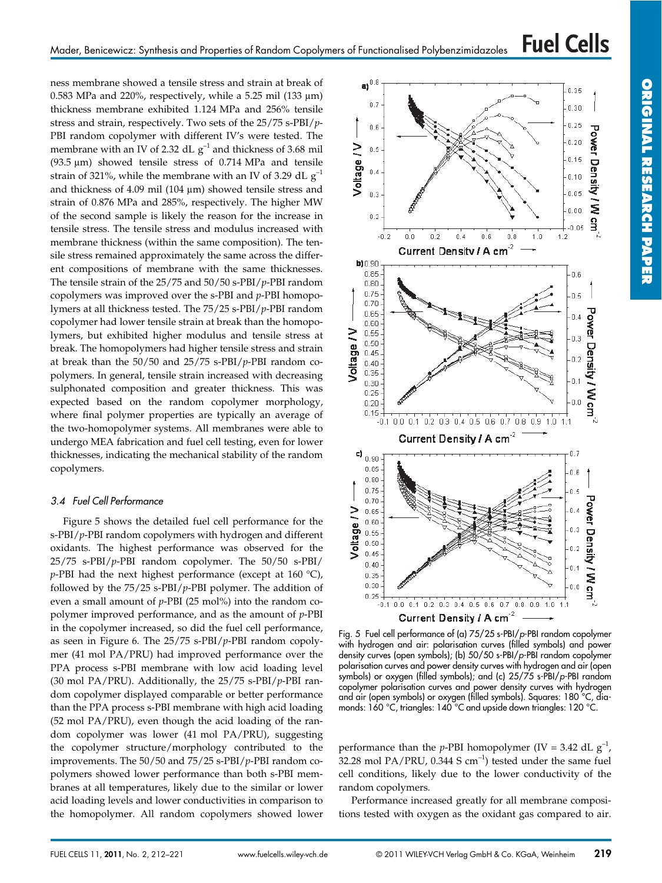ness membrane showed a tensile stress and strain at break of 0.583 MPa and 220%, respectively, while a 5.25 mil (133  $\mu$ m) thickness membrane exhibited 1.124 MPa and 256% tensile stress and strain, respectively. Two sets of the 25/75 s-PBI/*p*-PBI random copolymer with different IV's were tested. The membrane with an IV of 2.32 dL  $g^{-1}$  and thickness of 3.68 mil (93.5  $\mu$ m) showed tensile stress of 0.714 MPa and tensile strain of 321%, while the membrane with an IV of 3.29 dL  $g^{-1}$ and thickness of  $4.09$  mil (104  $\mu$ m) showed tensile stress and strain of 0.876 MPa and 285%, respectively. The higher MW of the second sample is likely the reason for the increase in tensile stress. The tensile stress and modulus increased with membrane thickness (within the same composition). The tensile stress remained approximately the same across the different compositions of membrane with the same thicknesses. The tensile strain of the 25/75 and 50/50 s-PBI/*p*-PBI random copolymers was improved over the s-PBI and *p*-PBI homopolymers at all thickness tested. The 75/25 s-PBI/*p*-PBI random copolymer had lower tensile strain at break than the homopolymers, but exhibited higher modulus and tensile stress at break. The homopolymers had higher tensile stress and strain at break than the 50/50 and 25/75 s-PBI/*p*-PBI random copolymers. In general, tensile strain increased with decreasing sulphonated composition and greater thickness. This was expected based on the random copolymer morphology, where final polymer properties are typically an average of the two-homopolymer systems. All membranes were able to undergo MEA fabrication and fuel cell testing, even for lower thicknesses, indicating the mechanical stability of the random copolymers.

### 3.4 Fuel Cell Performance

Figure 5 shows the detailed fuel cell performance for the s-PBI/*p*-PBI random copolymers with hydrogen and different oxidants. The highest performance was observed for the 25/75 s-PBI/*p*-PBI random copolymer. The 50/50 s-PBI/ *p*-PBI had the next highest performance (except at 160 °C), followed by the 75/25 s-PBI/*p*-PBI polymer. The addition of even a small amount of *p*-PBI (25 mol%) into the random copolymer improved performance, and as the amount of *p*-PBI in the copolymer increased, so did the fuel cell performance, as seen in Figure 6. The 25/75 s-PBI/*p*-PBI random copolymer (41 mol PA/PRU) had improved performance over the PPA process s-PBI membrane with low acid loading level (30 mol PA/PRU). Additionally, the 25/75 s-PBI/*p*-PBI random copolymer displayed comparable or better performance than the PPA process s-PBI membrane with high acid loading (52 mol PA/PRU), even though the acid loading of the random copolymer was lower (41 mol PA/PRU), suggesting the copolymer structure/morphology contributed to the improvements. The 50/50 and 75/25 s-PBI/*p*-PBI random copolymers showed lower performance than both s-PBI membranes at all temperatures, likely due to the similar or lower acid loading levels and lower conductivities in comparison to the homopolymer. All random copolymers showed lower



Fig. 5 Fuel cell performance of (a) 75/25 s-PBI/p-PBI random copolymer with hydrogen and air: polarisation curves (filled symbols) and power density curves (open symbols); (b) 50/50 s-PBI/p-PBI random copolymer polarisation curves and power density curves with hydrogen and air (open symbols) or oxygen (filled symbols); and (c) 25/75 s-PBI/p-PBI random copolymer polarisation curves and power density curves with hydrogen and air (open symbols) or oxygen (filled symbols). Squares: 180 °C, diamonds: 160 °C, triangles: 140 °C and upside down triangles: 120 °C.

performance than the *p*-PBI homopolymer (IV = 3.42 dL  $g^{-1}$ , 32.28 mol PA/PRU,  $0.344$  S cm<sup>-1</sup>) tested under the same fuel cell conditions, likely due to the lower conductivity of the random copolymers.

Performance increased greatly for all membrane compositions tested with oxygen as the oxidant gas compared to air.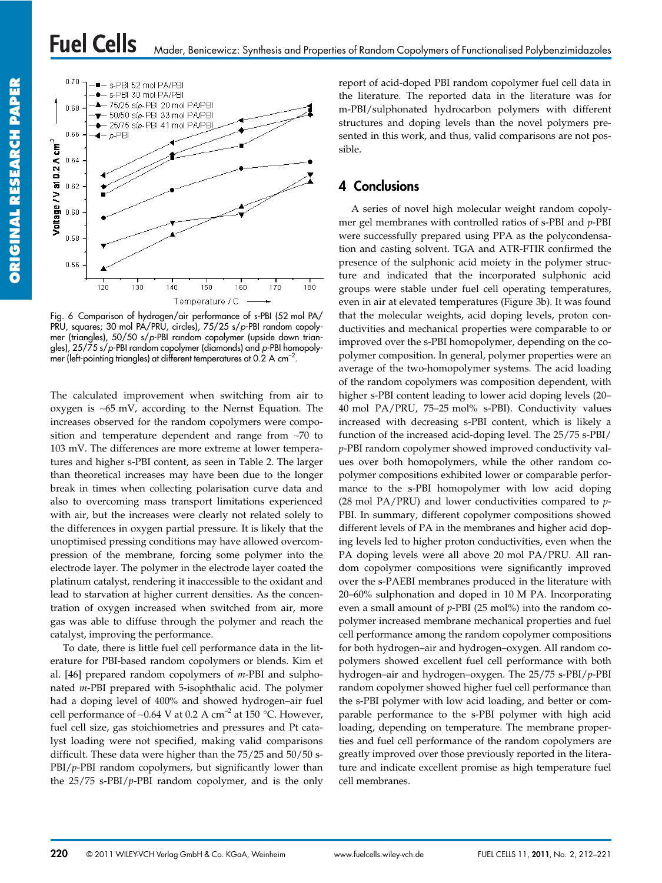

Fig. 6 Comparison of hydrogen/air performance of s-PBI (52 mol PA/ PRU, squares; 30 mol PA/PRU, circles), 75/25 s/p-PBI random copolymer (triangles), 50/50 s/p-PBI random copolymer (upside down triangles), 25/75 s/p-PBI random copolymer (diamonds) and p-PBI homopolymer (left-pointing triangles) at different temperatures at  $0.2 \text{ A cm}^{-2}$ .

The calculated improvement when switching from air to oxygen is ∼65 mV, according to the Nernst Equation. The increases observed for the random copolymers were composition and temperature dependent and range from ∼70 to 103 mV. The differences are more extreme at lower temperatures and higher s-PBI content, as seen in Table 2. The larger than theoretical increases may have been due to the longer break in times when collecting polarisation curve data and also to overcoming mass transport limitations experienced with air, but the increases were clearly not related solely to the differences in oxygen partial pressure. It is likely that the unoptimised pressing conditions may have allowed overcompression of the membrane, forcing some polymer into the electrode layer. The polymer in the electrode layer coated the platinum catalyst, rendering it inaccessible to the oxidant and lead to starvation at higher current densities. As the concentration of oxygen increased when switched from air, more gas was able to diffuse through the polymer and reach the catalyst, improving the performance.

To date, there is little fuel cell performance data in the literature for PBI-based random copolymers or blends. Kim et al. [46] prepared random copolymers of *m*-PBI and sulphonated *m*-PBI prepared with 5-isophthalic acid. The polymer had a doping level of 400% and showed hydrogen–air fuel cell performance of ~0.64 V at 0.2 A cm<sup>-2</sup> at 150 °C. However, fuel cell size, gas stoichiometries and pressures and Pt catalyst loading were not specified, making valid comparisons difficult. These data were higher than the 75/25 and 50/50 s-PBI/*p*-PBI random copolymers, but significantly lower than the 25/75 s-PBI/*p*-PBI random copolymer, and is the only report of acid-doped PBI random copolymer fuel cell data in the literature. The reported data in the literature was for m-PBI/sulphonated hydrocarbon polymers with different structures and doping levels than the novel polymers presented in this work, and thus, valid comparisons are not possible.

## 4 Conclusions

A series of novel high molecular weight random copolymer gel membranes with controlled ratios of s-PBI and *p*-PBI were successfully prepared using PPA as the polycondensation and casting solvent. TGA and ATR-FTIR confirmed the presence of the sulphonic acid moiety in the polymer structure and indicated that the incorporated sulphonic acid groups were stable under fuel cell operating temperatures, even in air at elevated temperatures (Figure 3b). It was found that the molecular weights, acid doping levels, proton conductivities and mechanical properties were comparable to or improved over the s-PBI homopolymer, depending on the copolymer composition. In general, polymer properties were an average of the two-homopolymer systems. The acid loading of the random copolymers was composition dependent, with higher s-PBI content leading to lower acid doping levels (20– 40 mol PA/PRU, 75–25 mol% s-PBI). Conductivity values increased with decreasing s-PBI content, which is likely a function of the increased acid-doping level. The 25/75 s-PBI/ *p*-PBI random copolymer showed improved conductivity values over both homopolymers, while the other random copolymer compositions exhibited lower or comparable performance to the s-PBI homopolymer with low acid doping (28 mol PA/PRU) and lower conductivities compared to *p*-PBI. In summary, different copolymer compositions showed different levels of PA in the membranes and higher acid doping levels led to higher proton conductivities, even when the PA doping levels were all above 20 mol PA/PRU. All random copolymer compositions were significantly improved over the s-PAEBI membranes produced in the literature with 20–60% sulphonation and doped in 10 M PA. Incorporating even a small amount of *p*-PBI (25 mol%) into the random copolymer increased membrane mechanical properties and fuel cell performance among the random copolymer compositions for both hydrogen–air and hydrogen–oxygen. All random copolymers showed excellent fuel cell performance with both hydrogen–air and hydrogen–oxygen. The 25/75 s-PBI/*p*-PBI random copolymer showed higher fuel cell performance than the s-PBI polymer with low acid loading, and better or comparable performance to the s-PBI polymer with high acid loading, depending on temperature. The membrane properties and fuel cell performance of the random copolymers are greatly improved over those previously reported in the literature and indicate excellent promise as high temperature fuel cell membranes.